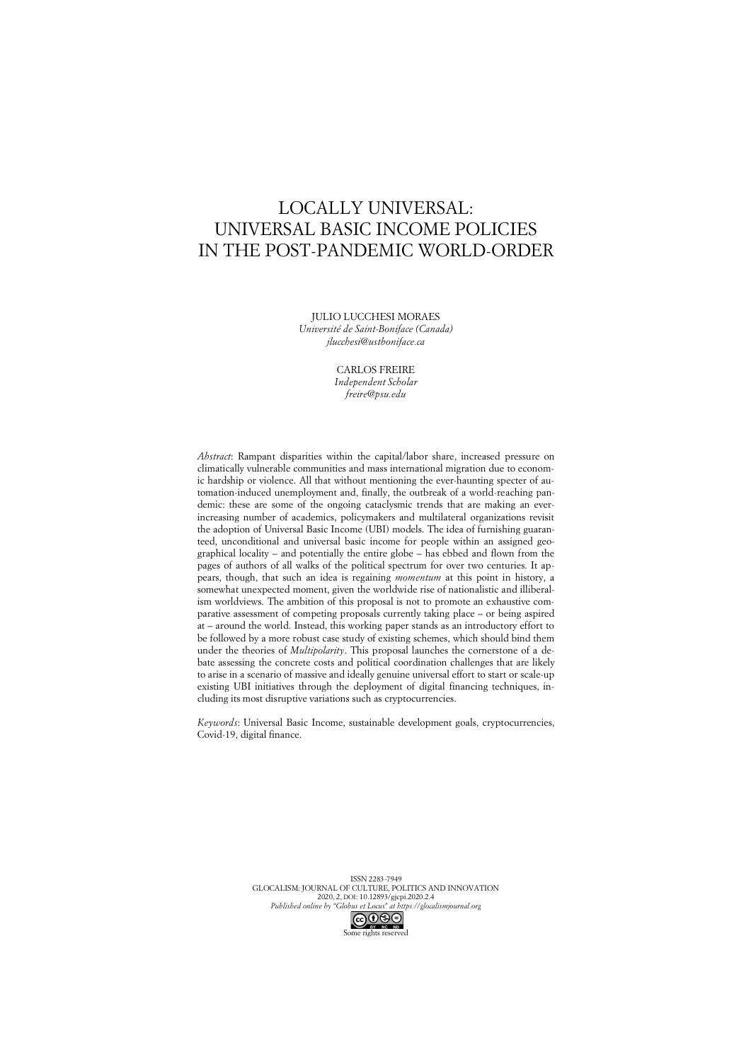# LOCALLY UNIVERSAL: UNIVERSAL BASIC INCOME POLICIES IN THE POST-PANDEMIC WORLD-ORDER

JULIO LUCCHESI MORAES *Université de Saint-Boniface (Canada)*

*jlucchesi@ustboniface.ca*

CARLOS FREIRE *Independent Scholar freire@psu.edu*

*Abstract*: Rampant disparities within the capital/labor share, increased pressure on climatically vulnerable communities and mass international migration due to economic hardship or violence. All that without mentioning the ever-haunting specter of automation-induced unemployment and, finally, the outbreak of a world-reaching pandemic: these are some of the ongoing cataclysmic trends that are making an everincreasing number of academics, policymakers and multilateral organizations revisit the adoption of Universal Basic Income (UBI) models. The idea of furnishing guaranteed, unconditional and universal basic income for people within an assigned geographical locality – and potentially the entire globe – has ebbed and flown from the pages of authors of all walks of the political spectrum for over two centuries. It appears, though, that such an idea is regaining *momentum* at this point in history, a somewhat unexpected moment, given the worldwide rise of nationalistic and illiberalism worldviews. The ambition of this proposal is not to promote an exhaustive comparative assessment of competing proposals currently taking place – or being aspired at – around the world. Instead, this working paper stands as an introductory effort to be followed by a more robust case study of existing schemes, which should bind them under the theories of *Multipolarity*. This proposal launches the cornerstone of a debate assessing the concrete costs and political coordination challenges that are likely to arise in a scenario of massive and ideally genuine universal effort to start or scale-up existing UBI initiatives through the deployment of digital financing techniques, including its most disruptive variations such as cryptocurrencies.

*Keywords*: Universal Basic Income, sustainable development goals, cryptocurrencies, Covid-19, digital finance.

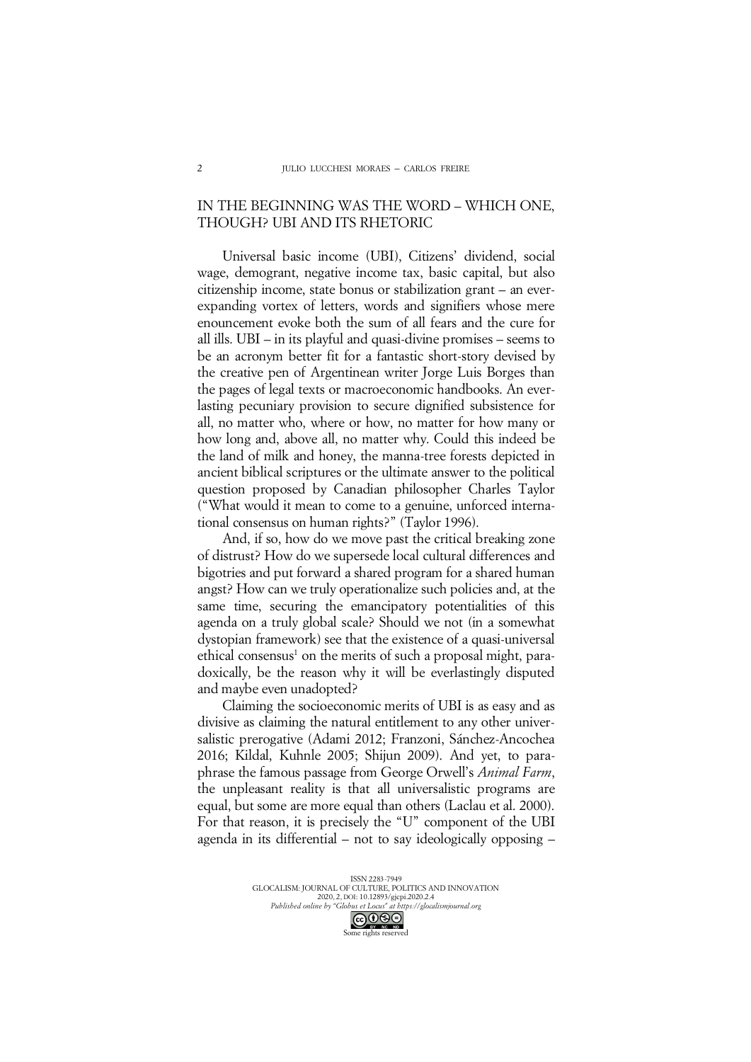### IN THE BEGINNING WAS THE WORD – WHICH ONE, THOUGH? UBI AND ITS RHETORIC

Universal basic income (UBI), Citizens' dividend, social wage, demogrant, negative income tax, basic capital, but also citizenship income, state bonus or stabilization grant – an everexpanding vortex of letters, words and signifiers whose mere enouncement evoke both the sum of all fears and the cure for all ills. UBI – in its playful and quasi-divine promises – seems to be an acronym better fit for a fantastic short-story devised by the creative pen of Argentinean writer Jorge Luis Borges than the pages of legal texts or macroeconomic handbooks. An everlasting pecuniary provision to secure dignified subsistence for all, no matter who, where or how, no matter for how many or how long and, above all, no matter why. Could this indeed be the land of milk and honey, the manna-tree forests depicted in ancient biblical scriptures or the ultimate answer to the political question proposed by Canadian philosopher Charles Taylor ("What would it mean to come to a genuine, unforced international consensus on human rights?" (Taylor 1996).

And, if so, how do we move past the critical breaking zone of distrust? How do we supersede local cultural differences and bigotries and put forward a shared program for a shared human angst? How can we truly operationalize such policies and, at the same time, securing the emancipatory potentialities of this agenda on a truly global scale? Should we not (in a somewhat dystopian framework) see that the existence of a quasi-universal ethical consensus<sup>1</sup> on the merits of such a proposal might, paradoxically, be the reason why it will be everlastingly disputed and maybe even unadopted?

Claiming the socioeconomic merits of UBI is as easy and as divisive as claiming the natural entitlement to any other universalistic prerogative (Adami 2012; Franzoni, Sánchez-Ancochea 2016; Kildal, Kuhnle 2005; Shijun 2009). And yet, to paraphrase the famous passage from George Orwell's *Animal Farm*, the unpleasant reality is that all universalistic programs are equal, but some are more equal than others (Laclau et al. 2000). For that reason, it is precisely the "U" component of the UBI agenda in its differential – not to say ideologically opposing –

ISSN 2283-7949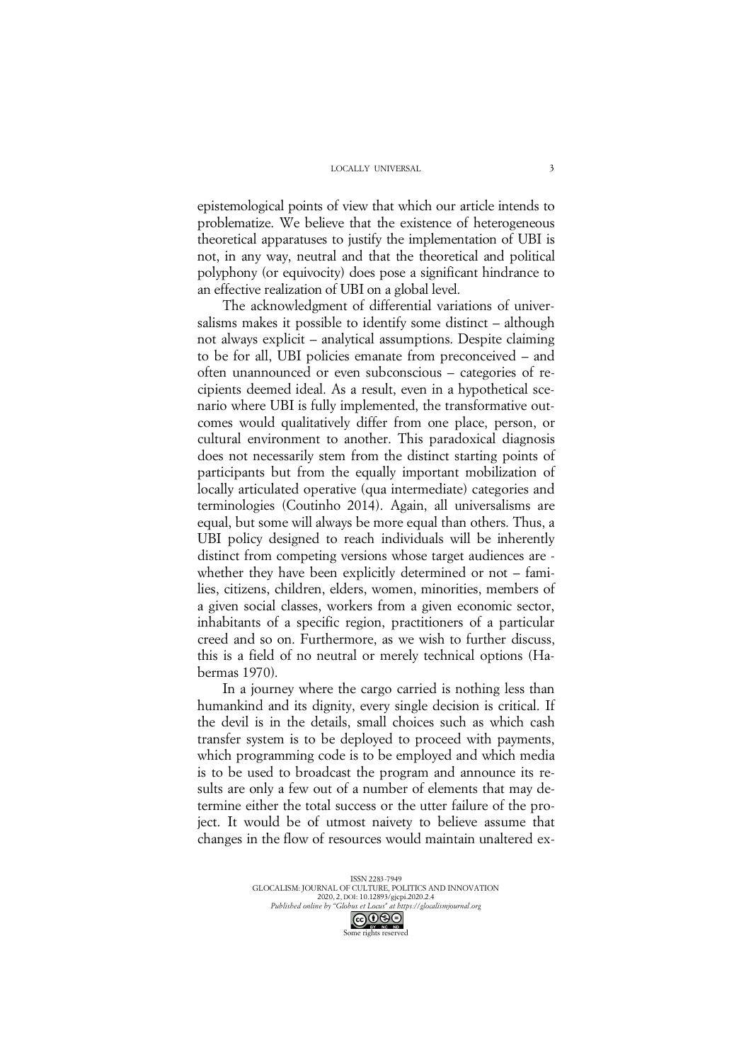epistemological points of view that which our article intends to problematize. We believe that the existence of heterogeneous theoretical apparatuses to justify the implementation of UBI is not, in any way, neutral and that the theoretical and political polyphony (or equivocity) does pose a significant hindrance to an effective realization of UBI on a global level.

The acknowledgment of differential variations of universalisms makes it possible to identify some distinct – although not always explicit – analytical assumptions. Despite claiming to be for all, UBI policies emanate from preconceived – and often unannounced or even subconscious – categories of recipients deemed ideal. As a result, even in a hypothetical scenario where UBI is fully implemented, the transformative outcomes would qualitatively differ from one place, person, or cultural environment to another. This paradoxical diagnosis does not necessarily stem from the distinct starting points of participants but from the equally important mobilization of locally articulated operative (qua intermediate) categories and terminologies (Coutinho 2014). Again, all universalisms are equal, but some will always be more equal than others. Thus, a UBI policy designed to reach individuals will be inherently distinct from competing versions whose target audiences are whether they have been explicitly determined or not – families, citizens, children, elders, women, minorities, members of a given social classes, workers from a given economic sector, inhabitants of a specific region, practitioners of a particular creed and so on. Furthermore, as we wish to further discuss, this is a field of no neutral or merely technical options (Habermas 1970).

In a journey where the cargo carried is nothing less than humankind and its dignity, every single decision is critical. If the devil is in the details, small choices such as which cash transfer system is to be deployed to proceed with payments, which programming code is to be employed and which media is to be used to broadcast the program and announce its results are only a few out of a number of elements that may determine either the total success or the utter failure of the project. It would be of utmost naivety to believe assume that changes in the flow of resources would maintain unaltered ex-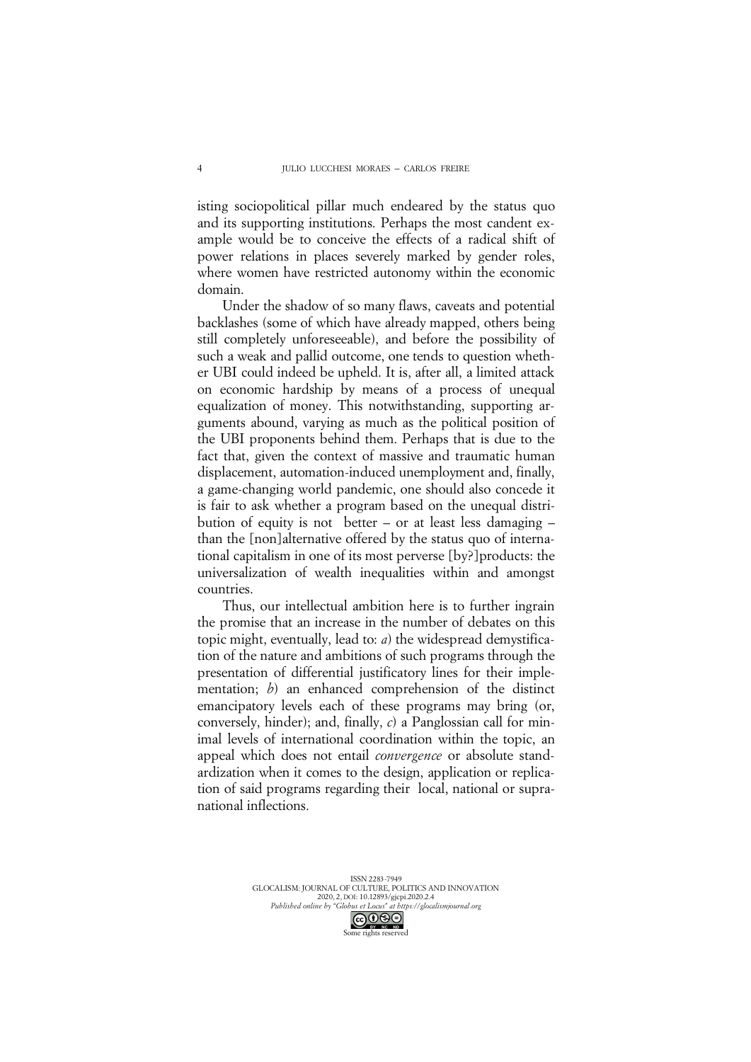isting sociopolitical pillar much endeared by the status quo and its supporting institutions. Perhaps the most candent example would be to conceive the effects of a radical shift of power relations in places severely marked by gender roles, where women have restricted autonomy within the economic domain.

Under the shadow of so many flaws, caveats and potential backlashes (some of which have already mapped, others being still completely unforeseeable), and before the possibility of such a weak and pallid outcome, one tends to question whether UBI could indeed be upheld. It is, after all, a limited attack on economic hardship by means of a process of unequal equalization of money. This notwithstanding, supporting arguments abound, varying as much as the political position of the UBI proponents behind them. Perhaps that is due to the fact that, given the context of massive and traumatic human displacement, automation-induced unemployment and, finally, a game-changing world pandemic, one should also concede it is fair to ask whether a program based on the unequal distribution of equity is not better – or at least less damaging – than the [non]alternative offered by the status quo of international capitalism in one of its most perverse [by?]products: the universalization of wealth inequalities within and amongst countries.

Thus, our intellectual ambition here is to further ingrain the promise that an increase in the number of debates on this topic might, eventually, lead to: *a*) the widespread demystification of the nature and ambitions of such programs through the presentation of differential justificatory lines for their implementation; *b*) an enhanced comprehension of the distinct emancipatory levels each of these programs may bring (or, conversely, hinder); and, finally, *c*) a Panglossian call for minimal levels of international coordination within the topic, an appeal which does not entail *convergence* or absolute standardization when it comes to the design, application or replication of said programs regarding their local, national or supranational inflections.

> ISSN 2283-7949 GLOCALISM: JOURNAL OF CULTURE, POLITICS AND INNOVATION 2020, 2, DOI: 10.12893/gjcpi.2020.2.4 *Published online by "Globus et Locus" at https://glocalismjournal.org*

> > Some rights reserved

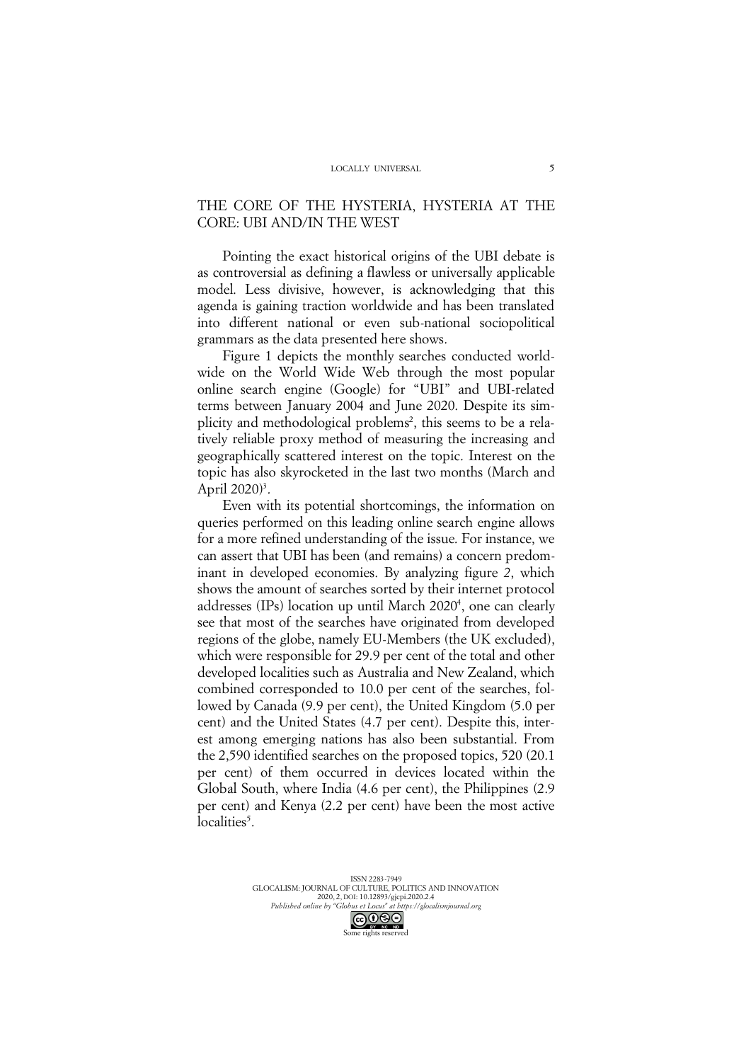### THE CORE OF THE HYSTERIA, HYSTERIA AT THE CORE: UBI AND/IN THE WEST

Pointing the exact historical origins of the UBI debate is as controversial as defining a flawless or universally applicable model. Less divisive, however, is acknowledging that this agenda is gaining traction worldwide and has been translated into different national or even sub-national sociopolitical grammars as the data presented here shows.

Figure 1 depicts the monthly searches conducted worldwide on the World Wide Web through the most popular online search engine (Google) for "UBI" and UBI-related terms between January 2004 and June 2020. Despite its simplicity and methodological problems<sup>2</sup>, this seems to be a relatively reliable proxy method of measuring the increasing and geographically scattered interest on the topic. Interest on the topic has also skyrocketed in the last two months (March and April 2020)<sup>3</sup>.

Even with its potential shortcomings, the information on queries performed on this leading online search engine allows for a more refined understanding of the issue. For instance, we can assert that UBI has been (and remains) a concern predominant in developed economies. By analyzing figure *2*, which shows the amount of searches sorted by their internet protocol addresses (IPs) location up until March 2020<sup>4</sup>, one can clearly see that most of the searches have originated from developed regions of the globe, namely EU-Members (the UK excluded), which were responsible for 29.9 per cent of the total and other developed localities such as Australia and New Zealand, which combined corresponded to 10.0 per cent of the searches, followed by Canada (9.9 per cent), the United Kingdom (5.0 per cent) and the United States (4.7 per cent). Despite this, interest among emerging nations has also been substantial. From the 2,590 identified searches on the proposed topics, 520 (20.1 per cent) of them occurred in devices located within the Global South, where India (4.6 per cent), the Philippines (2.9 per cent) and Kenya (2.2 per cent) have been the most active localities<sup>5</sup>.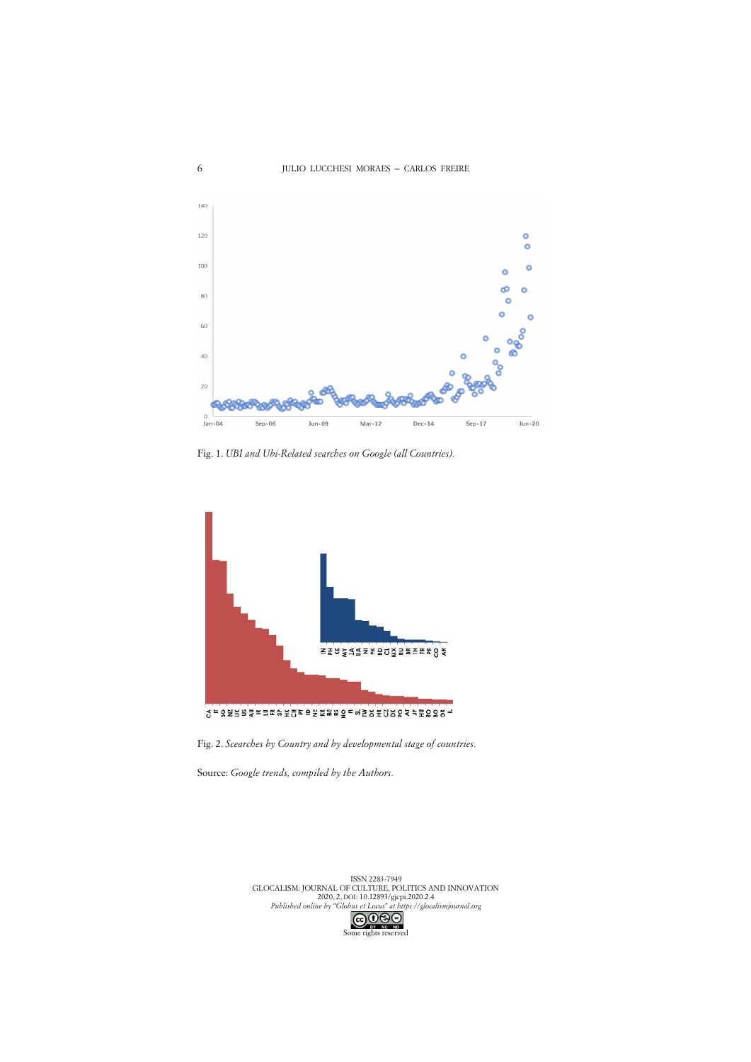6



Fig. 1. *UBI and Ubi-Related searches on Google (all Countries).*



Fig. 2. *Scearches by Country and by developmental stage of countries.*

Source: *Google trends, compiled by the Authors.*

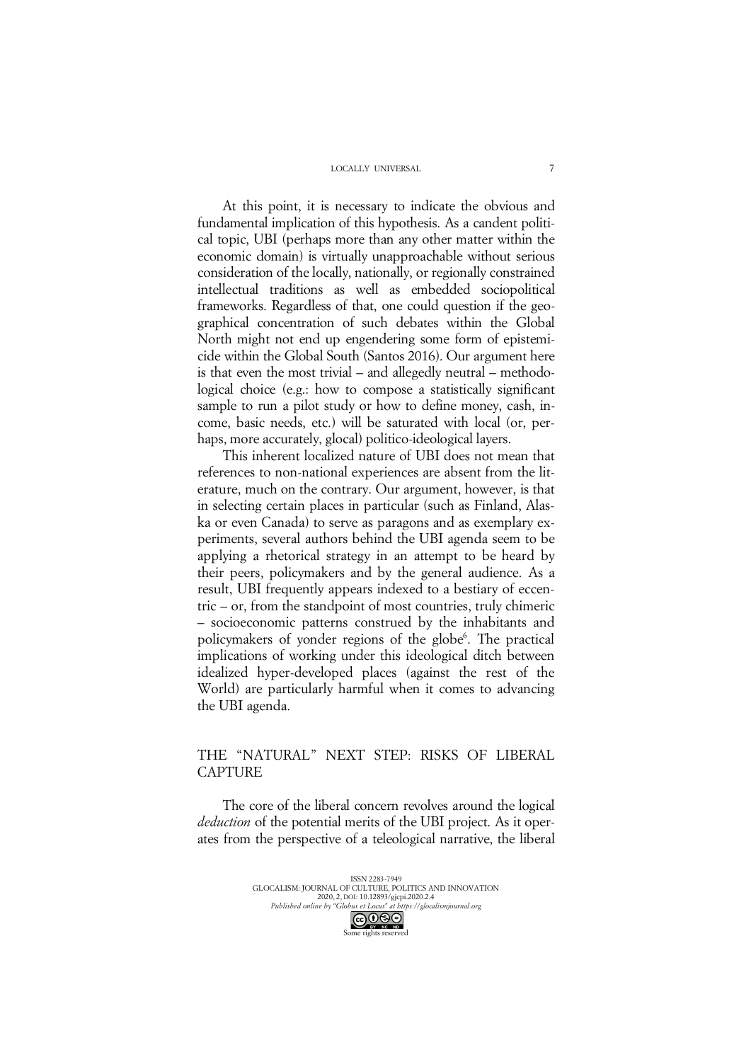#### LOCALLY UNIVERSAL

At this point, it is necessary to indicate the obvious and fundamental implication of this hypothesis. As a candent political topic, UBI (perhaps more than any other matter within the economic domain) is virtually unapproachable without serious consideration of the locally, nationally, or regionally constrained intellectual traditions as well as embedded sociopolitical frameworks. Regardless of that, one could question if the geographical concentration of such debates within the Global North might not end up engendering some form of epistemicide within the Global South (Santos 2016). Our argument here is that even the most trivial – and allegedly neutral – methodological choice (e.g.: how to compose a statistically significant sample to run a pilot study or how to define money, cash, income, basic needs, etc.) will be saturated with local (or, perhaps, more accurately, glocal) politico-ideological layers.

This inherent localized nature of UBI does not mean that references to non-national experiences are absent from the literature, much on the contrary. Our argument, however, is that in selecting certain places in particular (such as Finland, Alaska or even Canada) to serve as paragons and as exemplary experiments, several authors behind the UBI agenda seem to be applying a rhetorical strategy in an attempt to be heard by their peers, policymakers and by the general audience. As a result, UBI frequently appears indexed to a bestiary of eccentric – or, from the standpoint of most countries, truly chimeric – socioeconomic patterns construed by the inhabitants and policymakers of yonder regions of the globe<sup>6</sup>. The practical implications of working under this ideological ditch between idealized hyper-developed places (against the rest of the World) are particularly harmful when it comes to advancing the UBI agenda.

### THE "NATURAL" NEXT STEP: RISKS OF LIBERAL **CAPTURE**

The core of the liberal concern revolves around the logical *deduction* of the potential merits of the UBI project. As it operates from the perspective of a teleological narrative, the liberal

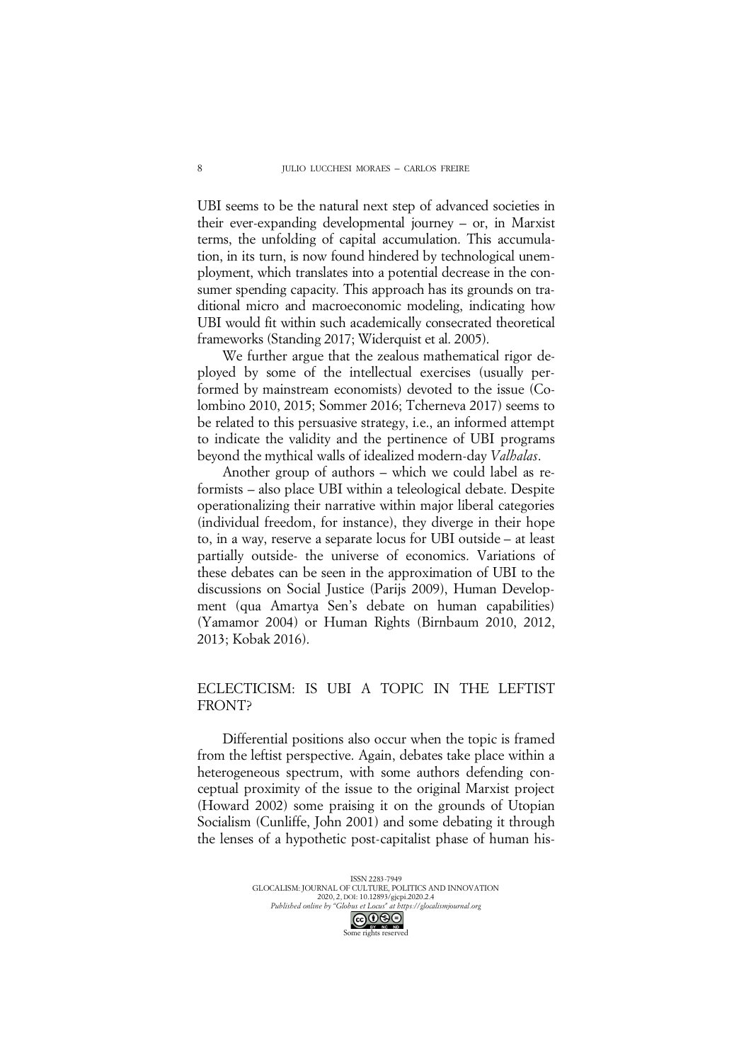UBI seems to be the natural next step of advanced societies in their ever-expanding developmental journey – or, in Marxist terms, the unfolding of capital accumulation. This accumulation, in its turn, is now found hindered by technological unemployment, which translates into a potential decrease in the consumer spending capacity. This approach has its grounds on traditional micro and macroeconomic modeling, indicating how UBI would fit within such academically consecrated theoretical frameworks (Standing 2017; Widerquist et al. 2005).

We further argue that the zealous mathematical rigor deployed by some of the intellectual exercises (usually performed by mainstream economists) devoted to the issue (Colombino 2010, 2015; Sommer 2016; Tcherneva 2017) seems to be related to this persuasive strategy, i.e., an informed attempt to indicate the validity and the pertinence of UBI programs beyond the mythical walls of idealized modern-day *Valhalas*.

Another group of authors – which we could label as reformists – also place UBI within a teleological debate. Despite operationalizing their narrative within major liberal categories (individual freedom, for instance), they diverge in their hope to, in a way, reserve a separate locus for UBI outside – at least partially outside- the universe of economics. Variations of these debates can be seen in the approximation of UBI to the discussions on Social Justice (Parijs 2009), Human Development (qua Amartya Sen's debate on human capabilities) (Yamamor 2004) or Human Rights (Birnbaum 2010, 2012, 2013; Kobak 2016).

### ECLECTICISM: IS UBI A TOPIC IN THE LEFTIST FRONT?

Differential positions also occur when the topic is framed from the leftist perspective. Again, debates take place within a heterogeneous spectrum, with some authors defending conceptual proximity of the issue to the original Marxist project (Howard 2002) some praising it on the grounds of Utopian Socialism (Cunliffe, John 2001) and some debating it through the lenses of a hypothetic post-capitalist phase of human his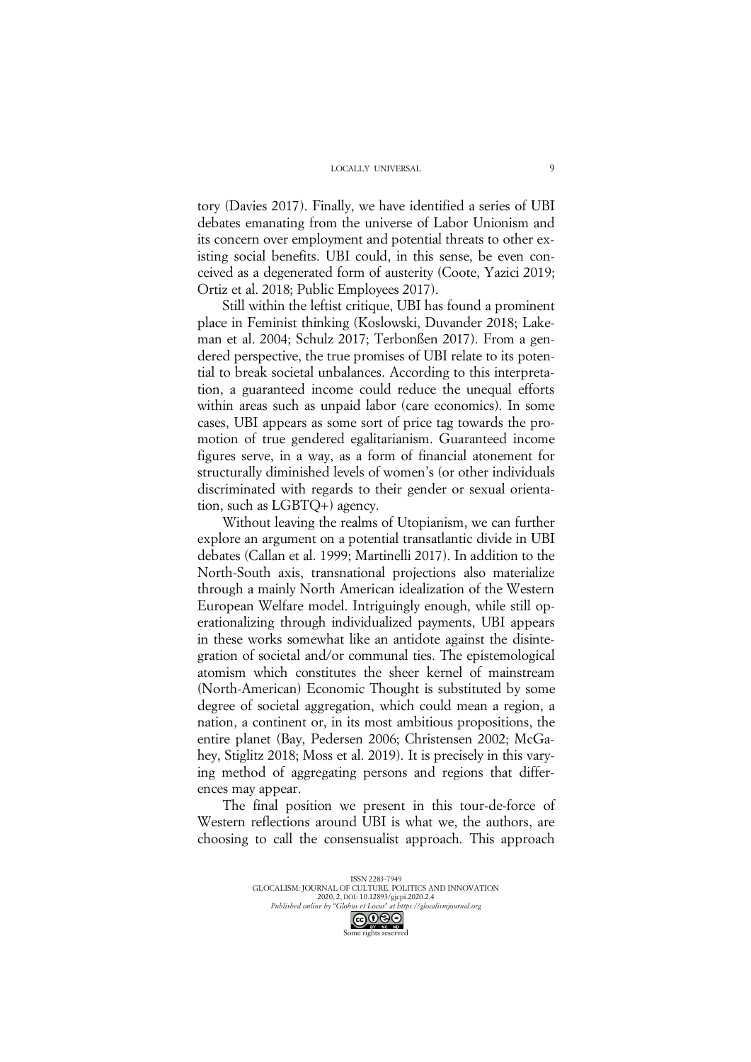tory (Davies 2017). Finally, we have identified a series of UBI debates emanating from the universe of Labor Unionism and its concern over employment and potential threats to other existing social benefits. UBI could, in this sense, be even conceived as a degenerated form of austerity (Coote, Yazici 2019; Ortiz et al. 2018; Public Employees 2017).

Still within the leftist critique, UBI has found a prominent place in Feminist thinking (Koslowski, Duvander 2018; Lakeman et al. 2004; Schulz 2017; Terbonßen 2017). From a gendered perspective, the true promises of UBI relate to its potential to break societal unbalances. According to this interpretation, a guaranteed income could reduce the unequal efforts within areas such as unpaid labor (care economics). In some cases, UBI appears as some sort of price tag towards the promotion of true gendered egalitarianism. Guaranteed income figures serve, in a way, as a form of financial atonement for structurally diminished levels of women's (or other individuals discriminated with regards to their gender or sexual orientation, such as LGBTQ+) agency.

Without leaving the realms of Utopianism, we can further explore an argument on a potential transatlantic divide in UBI debates (Callan et al. 1999; Martinelli 2017). In addition to the North-South axis, transnational projections also materialize through a mainly North American idealization of the Western European Welfare model. Intriguingly enough, while still operationalizing through individualized payments, UBI appears in these works somewhat like an antidote against the disintegration of societal and/or communal ties. The epistemological atomism which constitutes the sheer kernel of mainstream (North-American) Economic Thought is substituted by some degree of societal aggregation, which could mean a region, a nation, a continent or, in its most ambitious propositions, the entire planet (Bay, Pedersen 2006; Christensen 2002; McGahey, Stiglitz 2018; Moss et al. 2019). It is precisely in this varying method of aggregating persons and regions that differences may appear.

The final position we present in this tour-de-force of Western reflections around UBI is what we, the authors, are choosing to call the consensualist approach. This approach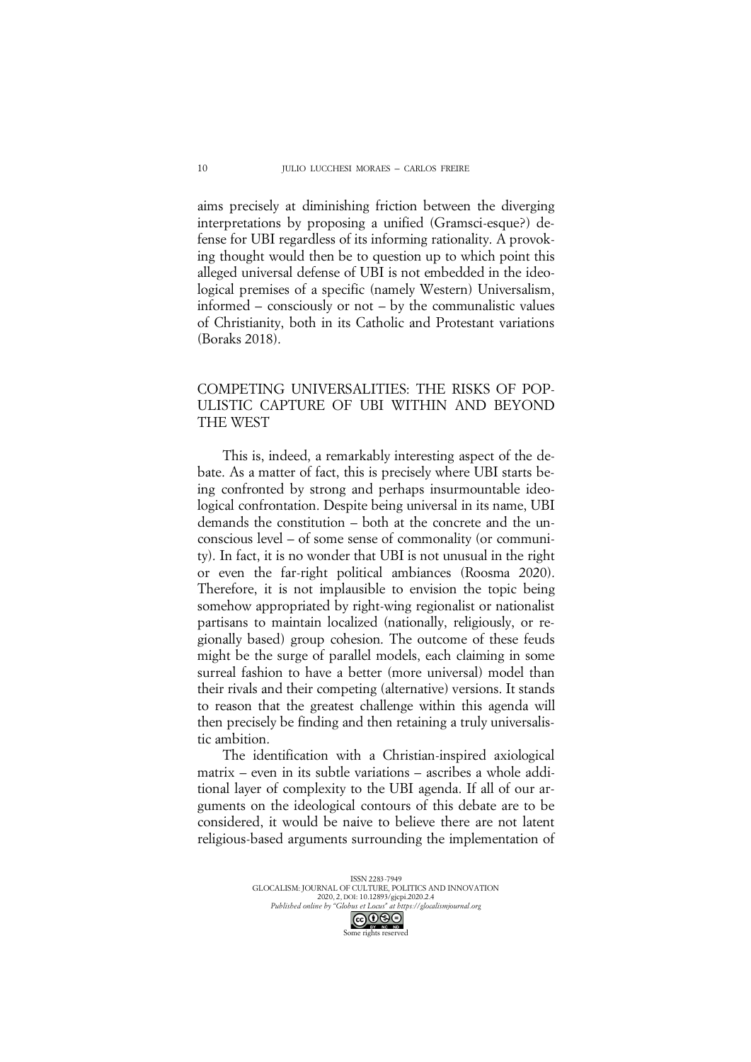aims precisely at diminishing friction between the diverging interpretations by proposing a unified (Gramsci-esque?) defense for UBI regardless of its informing rationality. A provoking thought would then be to question up to which point this alleged universal defense of UBI is not embedded in the ideological premises of a specific (namely Western) Universalism, informed – consciously or not – by the communalistic values of Christianity, both in its Catholic and Protestant variations (Boraks 2018).

## COMPETING UNIVERSALITIES: THE RISKS OF POP-ULISTIC CAPTURE OF UBI WITHIN AND BEYOND THE WEST

This is, indeed, a remarkably interesting aspect of the debate. As a matter of fact, this is precisely where UBI starts being confronted by strong and perhaps insurmountable ideological confrontation. Despite being universal in its name, UBI demands the constitution – both at the concrete and the unconscious level – of some sense of commonality (or community). In fact, it is no wonder that UBI is not unusual in the right or even the far-right political ambiances (Roosma 2020). Therefore, it is not implausible to envision the topic being somehow appropriated by right-wing regionalist or nationalist partisans to maintain localized (nationally, religiously, or regionally based) group cohesion. The outcome of these feuds might be the surge of parallel models, each claiming in some surreal fashion to have a better (more universal) model than their rivals and their competing (alternative) versions. It stands to reason that the greatest challenge within this agenda will then precisely be finding and then retaining a truly universalistic ambition.

The identification with a Christian-inspired axiological matrix *–* even in its subtle variations *–* ascribes a whole additional layer of complexity to the UBI agenda. If all of our arguments on the ideological contours of this debate are to be considered, it would be naive to believe there are not latent religious-based arguments surrounding the implementation of

> ISSN 2283-7949 GLOCALISM: JOURNAL OF CULTURE, POLITICS AND INNOVATION 2020, 2, DOI: 10.12893/gjcpi.2020.2.4 *Published online by "Globus et Locus" at https://glocalismjournal.org*

> > Some rights reserved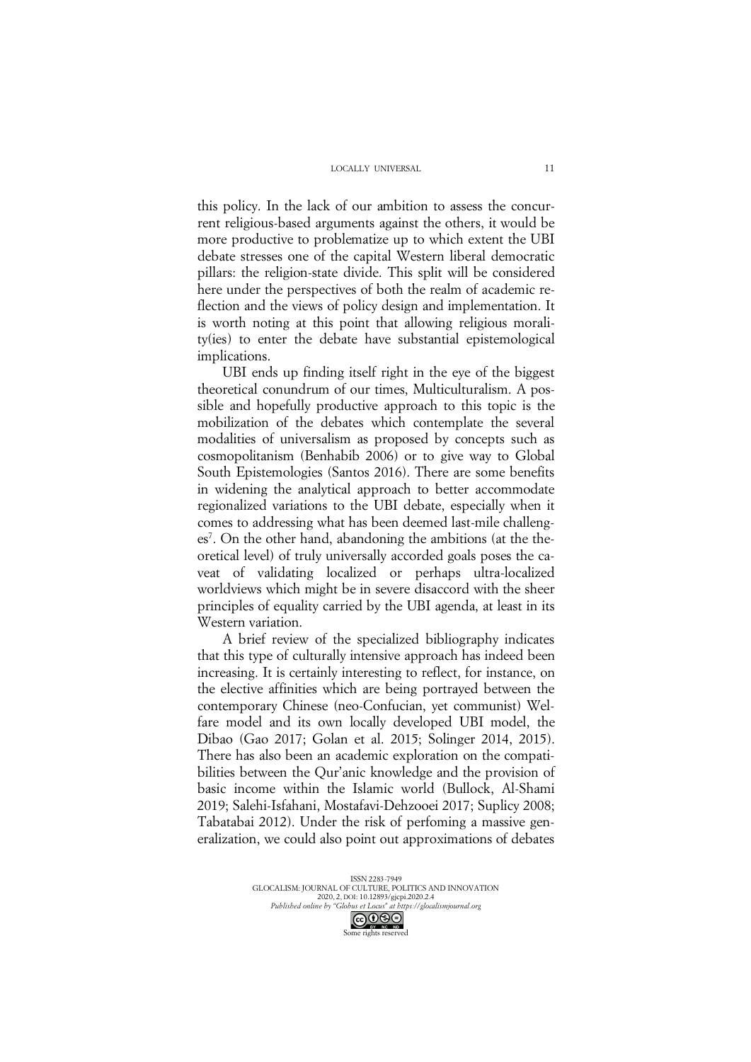this policy. In the lack of our ambition to assess the concurrent religious-based arguments against the others, it would be more productive to problematize up to which extent the UBI debate stresses one of the capital Western liberal democratic pillars: the religion-state divide. This split will be considered here under the perspectives of both the realm of academic reflection and the views of policy design and implementation. It is worth noting at this point that allowing religious morality(ies) to enter the debate have substantial epistemological implications.

UBI ends up finding itself right in the eye of the biggest theoretical conundrum of our times, Multiculturalism. A possible and hopefully productive approach to this topic is the mobilization of the debates which contemplate the several modalities of universalism as proposed by concepts such as cosmopolitanism (Benhabib 2006) or to give way to Global South Epistemologies (Santos 2016). There are some benefits in widening the analytical approach to better accommodate regionalized variations to the UBI debate, especially when it comes to addressing what has been deemed last-mile challenges<sup>7</sup>. On the other hand, abandoning the ambitions (at the theoretical level) of truly universally accorded goals poses the caveat of validating localized or perhaps ultra-localized worldviews which might be in severe disaccord with the sheer principles of equality carried by the UBI agenda, at least in its Western variation.

A brief review of the specialized bibliography indicates that this type of culturally intensive approach has indeed been increasing. It is certainly interesting to reflect, for instance, on the elective affinities which are being portrayed between the contemporary Chinese (neo-Confucian, yet communist) Welfare model and its own locally developed UBI model, the Dibao (Gao 2017; Golan et al. 2015; Solinger 2014, 2015). There has also been an academic exploration on the compatibilities between the Qur'anic knowledge and the provision of basic income within the Islamic world (Bullock, Al-Shami 2019; Salehi-Isfahani, Mostafavi-Dehzooei 2017; Suplicy 2008; Tabatabai 2012). Under the risk of perfoming a massive generalization, we could also point out approximations of debates

> ISSN 2283-7949 GLOCALISM: JOURNAL OF CULTURE, POLITICS AND INNOVATION 2020, 2, DOI: 10.12893/gjcpi.2020.2.4 *Published online by "Globus et Locus" at https://glocalismjournal.org*

Some rights reserved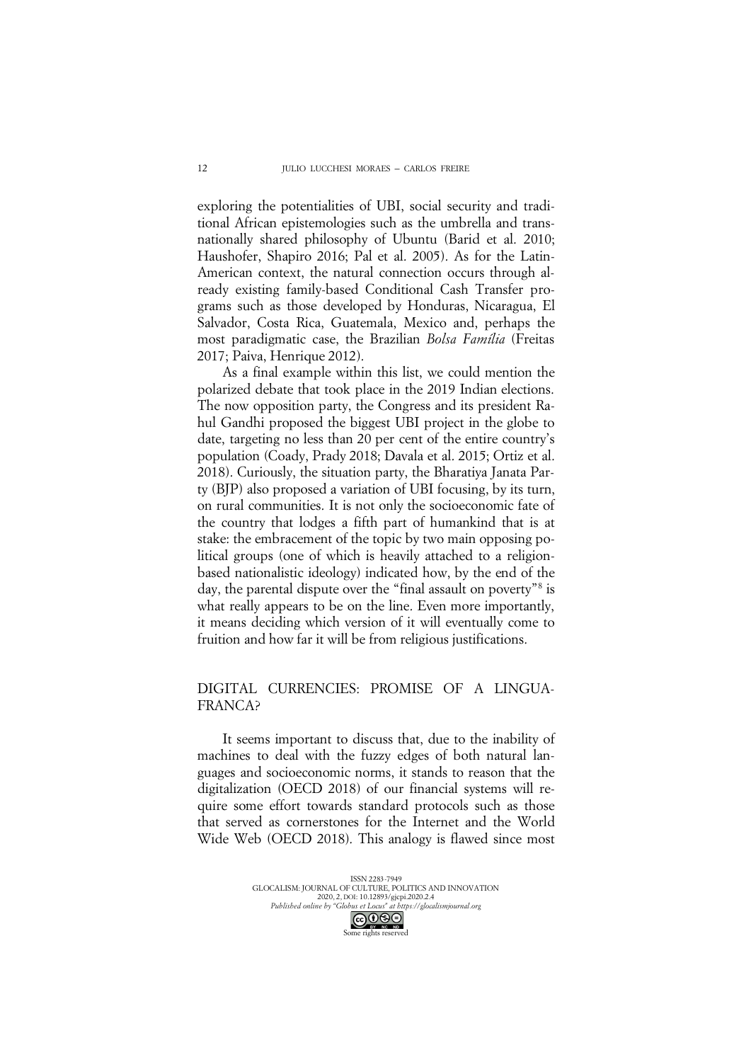exploring the potentialities of UBI, social security and traditional African epistemologies such as the umbrella and transnationally shared philosophy of Ubuntu (Barid et al. 2010; Haushofer, Shapiro 2016; Pal et al. 2005). As for the Latin-American context, the natural connection occurs through already existing family-based Conditional Cash Transfer programs such as those developed by Honduras, Nicaragua, El Salvador, Costa Rica, Guatemala, Mexico and, perhaps the most paradigmatic case, the Brazilian *Bolsa Família* (Freitas 2017; Paiva, Henrique 2012).

As a final example within this list, we could mention the polarized debate that took place in the 2019 Indian elections. The now opposition party, the Congress and its president Rahul Gandhi proposed the biggest UBI project in the globe to date, targeting no less than 20 per cent of the entire country's population (Coady, Prady 2018; Davala et al. 2015; Ortiz et al. 2018). Curiously, the situation party, the Bharatiya Janata Party (BJP) also proposed a variation of UBI focusing, by its turn, on rural communities. It is not only the socioeconomic fate of the country that lodges a fifth part of humankind that is at stake: the embracement of the topic by two main opposing political groups (one of which is heavily attached to a religionbased nationalistic ideology) indicated how, by the end of the day, the parental dispute over the "final assault on poverty"8 is what really appears to be on the line. Even more importantly, it means deciding which version of it will eventually come to fruition and how far it will be from religious justifications.

### DIGITAL CURRENCIES: PROMISE OF A LINGUA-FRANCA?

It seems important to discuss that, due to the inability of machines to deal with the fuzzy edges of both natural languages and socioeconomic norms, it stands to reason that the digitalization (OECD 2018) of our financial systems will require some effort towards standard protocols such as those that served as cornerstones for the Internet and the World Wide Web (OECD 2018). This analogy is flawed since most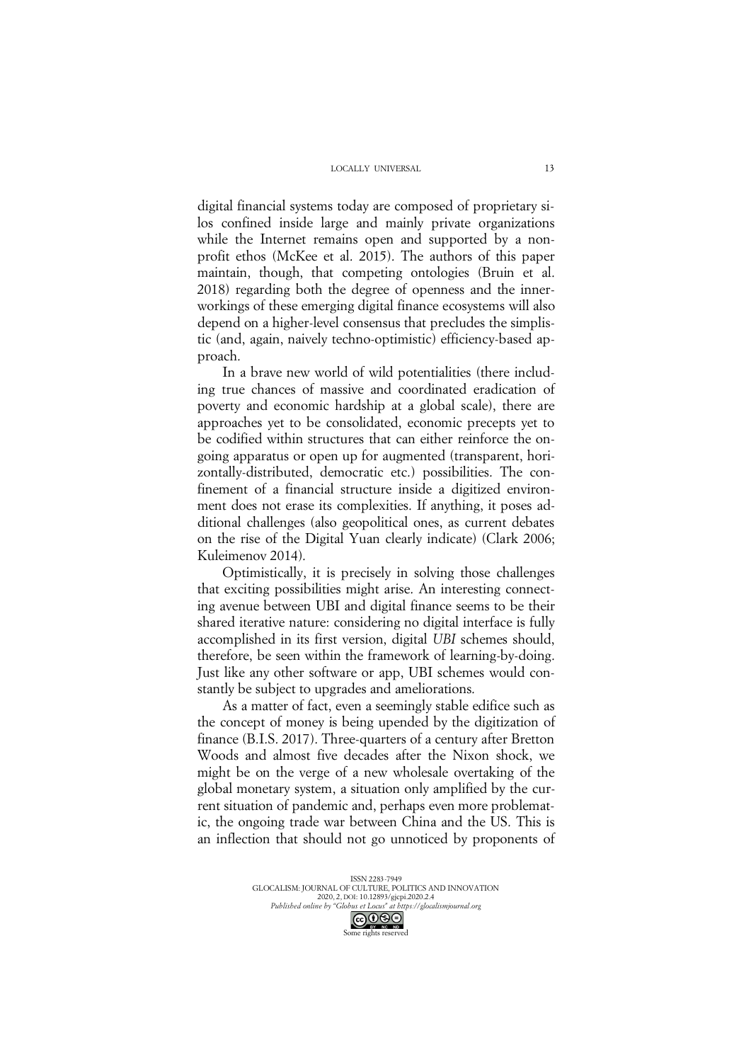digital financial systems today are composed of proprietary silos confined inside large and mainly private organizations while the Internet remains open and supported by a nonprofit ethos (McKee et al. 2015). The authors of this paper maintain, though, that competing ontologies (Bruin et al. 2018) regarding both the degree of openness and the innerworkings of these emerging digital finance ecosystems will also depend on a higher-level consensus that precludes the simplistic (and, again, naively techno-optimistic) efficiency-based approach.

In a brave new world of wild potentialities (there including true chances of massive and coordinated eradication of poverty and economic hardship at a global scale), there are approaches yet to be consolidated, economic precepts yet to be codified within structures that can either reinforce the ongoing apparatus or open up for augmented (transparent, horizontally-distributed, democratic etc.) possibilities. The confinement of a financial structure inside a digitized environment does not erase its complexities. If anything, it poses additional challenges (also geopolitical ones, as current debates on the rise of the Digital Yuan clearly indicate) (Clark 2006; Kuleimenov 2014).

Optimistically, it is precisely in solving those challenges that exciting possibilities might arise. An interesting connecting avenue between UBI and digital finance seems to be their shared iterative nature: considering no digital interface is fully accomplished in its first version, digital *UBI* schemes should, therefore, be seen within the framework of learning-by-doing. Just like any other software or app, UBI schemes would constantly be subject to upgrades and ameliorations.

As a matter of fact, even a seemingly stable edifice such as the concept of money is being upended by the digitization of finance (B.I.S. 2017). Three-quarters of a century after Bretton Woods and almost five decades after the Nixon shock, we might be on the verge of a new wholesale overtaking of the global monetary system, a situation only amplified by the current situation of pandemic and, perhaps even more problematic, the ongoing trade war between China and the US. This is an inflection that should not go unnoticed by proponents of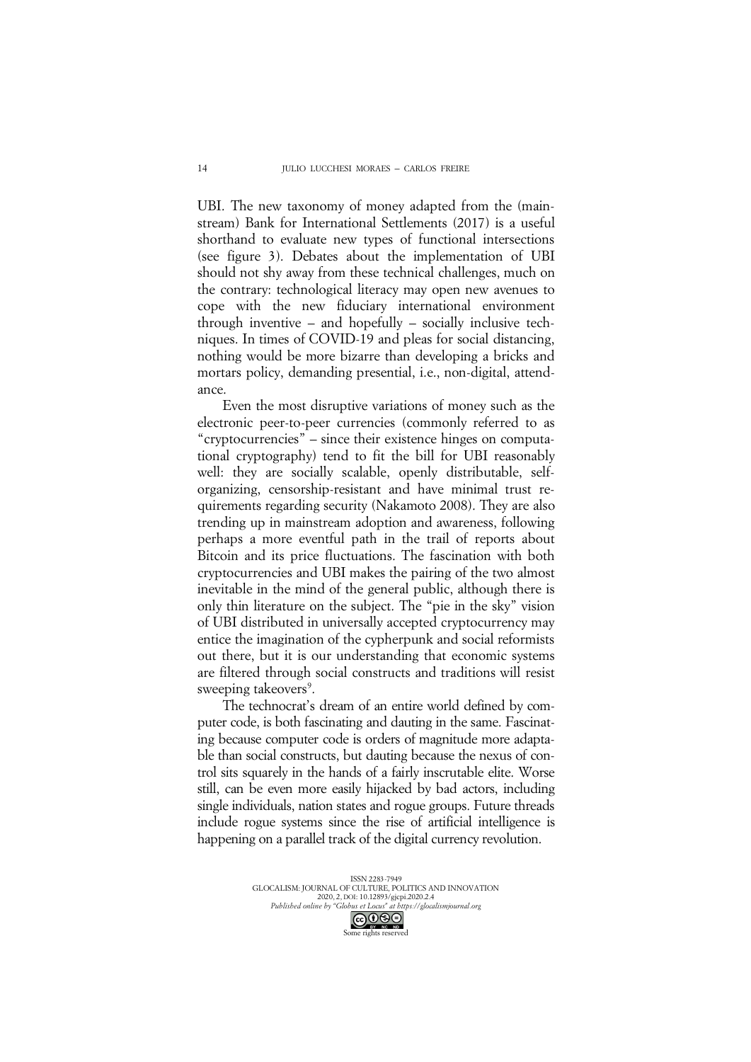UBI. The new taxonomy of money adapted from the (mainstream) Bank for International Settlements (2017) is a useful shorthand to evaluate new types of functional intersections (see figure 3). Debates about the implementation of UBI should not shy away from these technical challenges, much on the contrary: technological literacy may open new avenues to cope with the new fiduciary international environment through inventive – and hopefully – socially inclusive techniques. In times of COVID-19 and pleas for social distancing, nothing would be more bizarre than developing a bricks and mortars policy, demanding presential, i.e., non-digital, attendance.

Even the most disruptive variations of money such as the electronic peer-to-peer currencies (commonly referred to as "cryptocurrencies" – since their existence hinges on computational cryptography) tend to fit the bill for UBI reasonably well: they are socially scalable, openly distributable, selforganizing, censorship-resistant and have minimal trust requirements regarding security (Nakamoto 2008). They are also trending up in mainstream adoption and awareness, following perhaps a more eventful path in the trail of reports about Bitcoin and its price fluctuations. The fascination with both cryptocurrencies and UBI makes the pairing of the two almost inevitable in the mind of the general public, although there is only thin literature on the subject. The "pie in the sky" vision of UBI distributed in universally accepted cryptocurrency may entice the imagination of the cypherpunk and social reformists out there, but it is our understanding that economic systems are filtered through social constructs and traditions will resist sweeping takeovers<sup>9</sup>.

The technocrat's dream of an entire world defined by computer code, is both fascinating and dauting in the same. Fascinating because computer code is orders of magnitude more adaptable than social constructs, but dauting because the nexus of control sits squarely in the hands of a fairly inscrutable elite. Worse still, can be even more easily hijacked by bad actors, including single individuals, nation states and rogue groups. Future threads include rogue systems since the rise of artificial intelligence is happening on a parallel track of the digital currency revolution.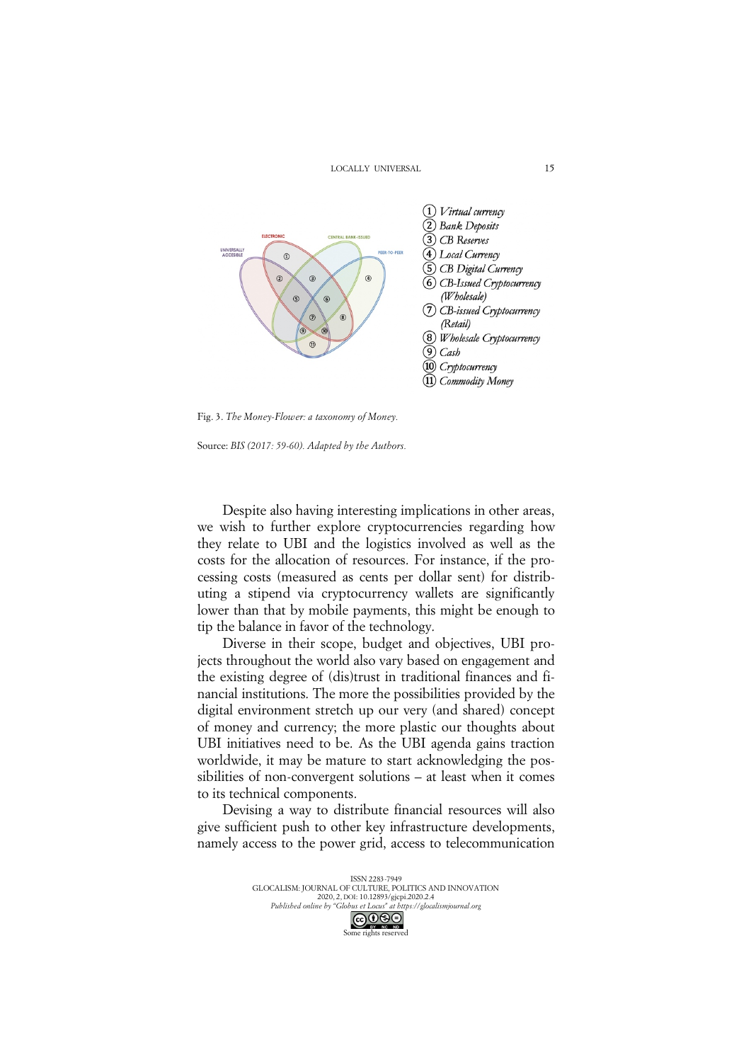

Fig. 3. *The Money-Flower: a taxonomy of Money.*

Source: *BIS (2017: 59-60). Adapted by the Authors.*

Despite also having interesting implications in other areas, we wish to further explore cryptocurrencies regarding how they relate to UBI and the logistics involved as well as the costs for the allocation of resources. For instance, if the processing costs (measured as cents per dollar sent) for distributing a stipend via cryptocurrency wallets are significantly lower than that by mobile payments, this might be enough to tip the balance in favor of the technology.

Diverse in their scope, budget and objectives, UBI projects throughout the world also vary based on engagement and the existing degree of (dis)trust in traditional finances and financial institutions. The more the possibilities provided by the digital environment stretch up our very (and shared) concept of money and currency; the more plastic our thoughts about UBI initiatives need to be. As the UBI agenda gains traction worldwide, it may be mature to start acknowledging the possibilities of non-convergent solutions – at least when it comes to its technical components.

Devising a way to distribute financial resources will also give sufficient push to other key infrastructure developments, namely access to the power grid, access to telecommunication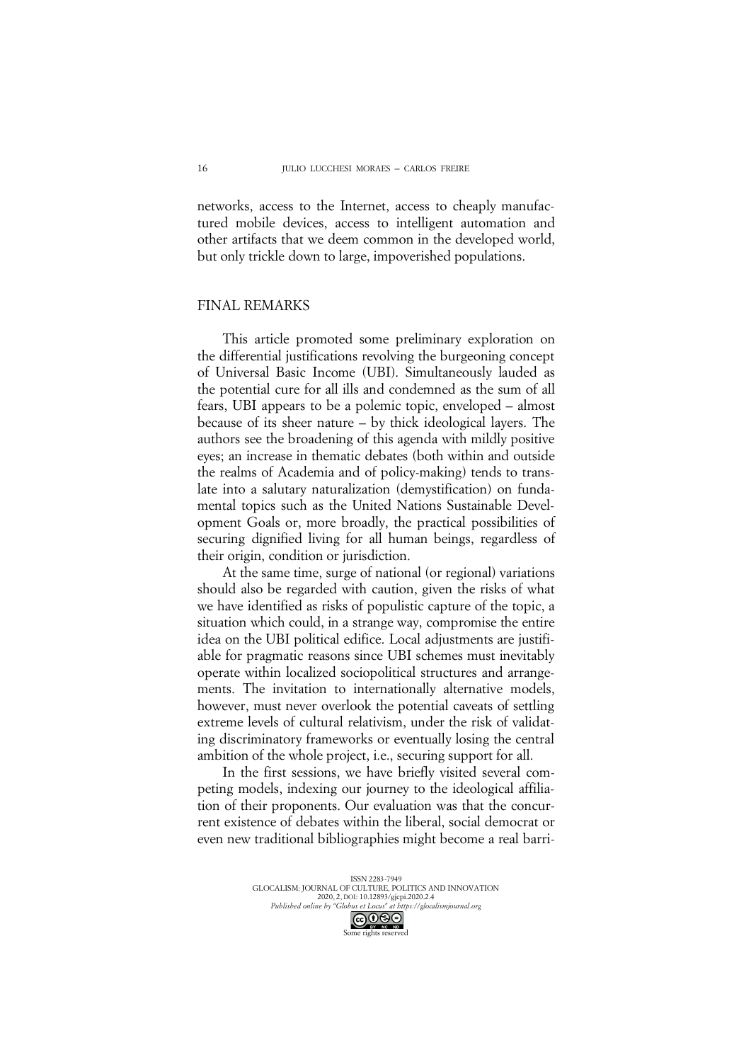networks, access to the Internet, access to cheaply manufactured mobile devices, access to intelligent automation and other artifacts that we deem common in the developed world, but only trickle down to large, impoverished populations.

#### FINAL REMARKS

This article promoted some preliminary exploration on the differential justifications revolving the burgeoning concept of Universal Basic Income (UBI). Simultaneously lauded as the potential cure for all ills and condemned as the sum of all fears, UBI appears to be a polemic topic, enveloped – almost because of its sheer nature – by thick ideological layers. The authors see the broadening of this agenda with mildly positive eyes; an increase in thematic debates (both within and outside the realms of Academia and of policy-making) tends to translate into a salutary naturalization (demystification) on fundamental topics such as the United Nations Sustainable Development Goals or, more broadly, the practical possibilities of securing dignified living for all human beings, regardless of their origin, condition or jurisdiction.

At the same time, surge of national (or regional) variations should also be regarded with caution, given the risks of what we have identified as risks of populistic capture of the topic, a situation which could, in a strange way, compromise the entire idea on the UBI political edifice. Local adjustments are justifiable for pragmatic reasons since UBI schemes must inevitably operate within localized sociopolitical structures and arrangements. The invitation to internationally alternative models, however, must never overlook the potential caveats of settling extreme levels of cultural relativism, under the risk of validating discriminatory frameworks or eventually losing the central ambition of the whole project, i.e., securing support for all.

In the first sessions, we have briefly visited several competing models, indexing our journey to the ideological affiliation of their proponents. Our evaluation was that the concurrent existence of debates within the liberal, social democrat or even new traditional bibliographies might become a real barri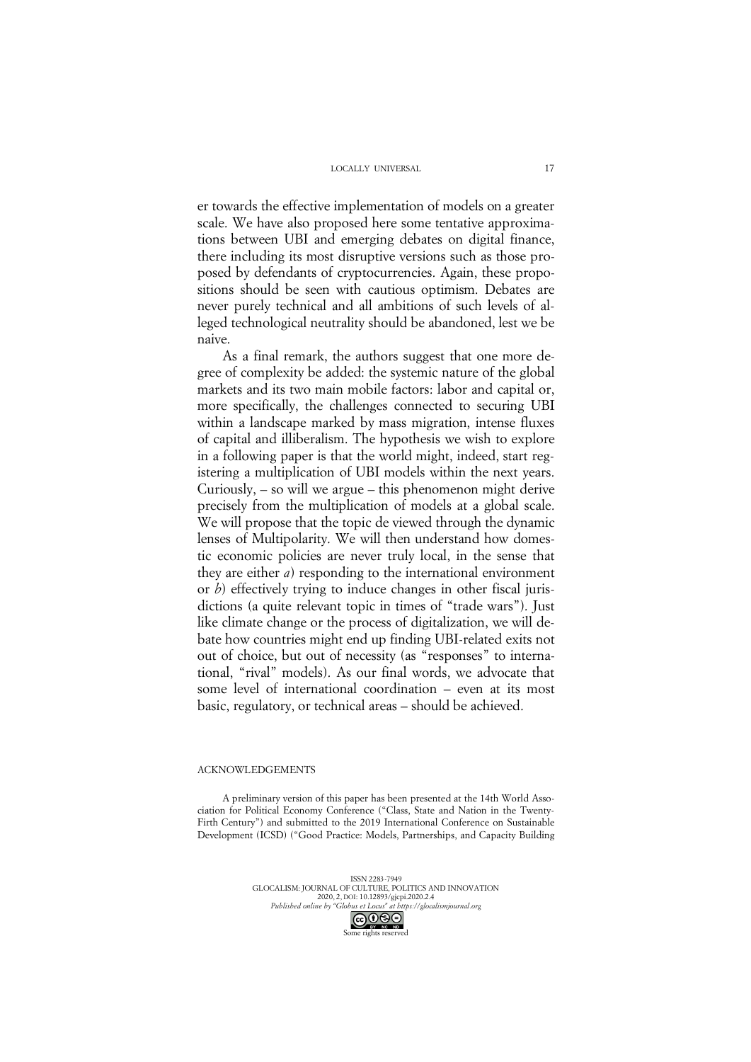er towards the effective implementation of models on a greater scale. We have also proposed here some tentative approximations between UBI and emerging debates on digital finance, there including its most disruptive versions such as those proposed by defendants of cryptocurrencies. Again, these propositions should be seen with cautious optimism. Debates are never purely technical and all ambitions of such levels of alleged technological neutrality should be abandoned, lest we be naive.

As a final remark, the authors suggest that one more degree of complexity be added: the systemic nature of the global markets and its two main mobile factors: labor and capital or, more specifically, the challenges connected to securing UBI within a landscape marked by mass migration, intense fluxes of capital and illiberalism. The hypothesis we wish to explore in a following paper is that the world might, indeed, start registering a multiplication of UBI models within the next years. Curiously, – so will we argue – this phenomenon might derive precisely from the multiplication of models at a global scale. We will propose that the topic de viewed through the dynamic lenses of Multipolarity. We will then understand how domestic economic policies are never truly local, in the sense that they are either *a*) responding to the international environment or *b*) effectively trying to induce changes in other fiscal jurisdictions (a quite relevant topic in times of "trade wars"). Just like climate change or the process of digitalization, we will debate how countries might end up finding UBI-related exits not out of choice, but out of necessity (as "responses" to international, "rival" models). As our final words, we advocate that some level of international coordination – even at its most basic, regulatory, or technical areas – should be achieved.

#### ACKNOWLEDGEMENTS

A preliminary version of this paper has been presented at the 14th World Association for Political Economy Conference ("Class, State and Nation in the Twenty-Firth Century") and submitted to the 2019 International Conference on Sustainable Development (ICSD) ("Good Practice: Models, Partnerships, and Capacity Building

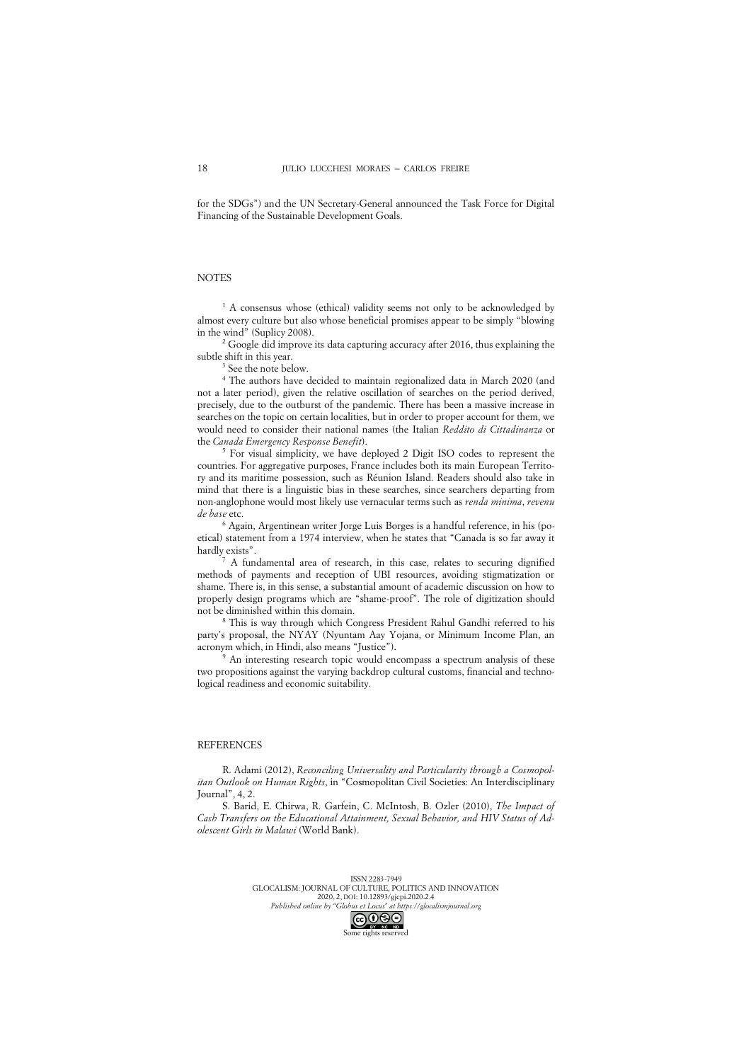for the SDGs") and the UN Secretary-General announced the Task Force for Digital Financing of the Sustainable Development Goals.

#### **NOTES**

<sup>1</sup> A consensus whose (ethical) validity seems not only to be acknowledged by almost every culture but also whose beneficial promises appear to be simply "blowing in the wind" (Suplicy 2008).

<sup>2</sup> Google did improve its data capturing accuracy after 2016, thus explaining the subtle shift in this year.

See the note below.

<sup>4</sup> The authors have decided to maintain regionalized data in March 2020 (and not a later period), given the relative oscillation of searches on the period derived, precisely, due to the outburst of the pandemic. There has been a massive increase in searches on the topic on certain localities, but in order to proper account for them, we would need to consider their national names (the Italian *Reddito di Cittadinanza* or the *Canada Emergency Response Benefit*).

 $5$  For visual simplicity, we have deployed 2 Digit ISO codes to represent the countries. For aggregative purposes, France includes both its main European Territory and its maritime possession, such as Réunion Island. Readers should also take in mind that there is a linguistic bias in these searches, since searchers departing from non-anglophone would most likely use vernacular terms such as *renda minima*, *revenu de base* etc.

<sup>6</sup> Again, Argentinean writer Jorge Luis Borges is a handful reference, in his (poetical) statement from a 1974 interview, when he states that "Canada is so far away it hardly exists".

<sup>7</sup> A fundamental area of research, in this case, relates to securing dignified methods of payments and reception of UBI resources, avoiding stigmatization or shame. There is, in this sense, a substantial amount of academic discussion on how to properly design programs which are "shame-proof". The role of digitization should not be diminished within this domain.

<sup>8</sup> This is way through which Congress President Rahul Gandhi referred to his party's proposal, the NYAY (Nyuntam Aay Yojana, or Minimum Income Plan, an acronym which, in Hindi, also means "Justice").

<sup>9</sup> An interesting research topic would encompass a spectrum analysis of these two propositions against the varying backdrop cultural customs, financial and technological readiness and economic suitability.

#### **REFERENCES**

R. Adami (2012), *Reconciling Universality and Particularity through a Cosmopolitan Outlook on Human Rights*, in "Cosmopolitan Civil Societies: An Interdisciplinary Journal", 4, 2.

S. Barid, E. Chirwa, R. Garfein, C. McIntosh, B. Ozler (2010), *The Impact of Cash Transfers on the Educational Attainment, Sexual Behavior, and HIV Status of Adolescent Girls in Malawi* (World Bank).

> ISSN 2283-7949 GLOCALISM: JOURNAL OF CULTURE, POLITICS AND INNOVATION 2020, 2, DOI: 10.12893/gjcpi.2020.2.4 *Published online by "Globus et Locus" at https://glocalismjournal.org*

18

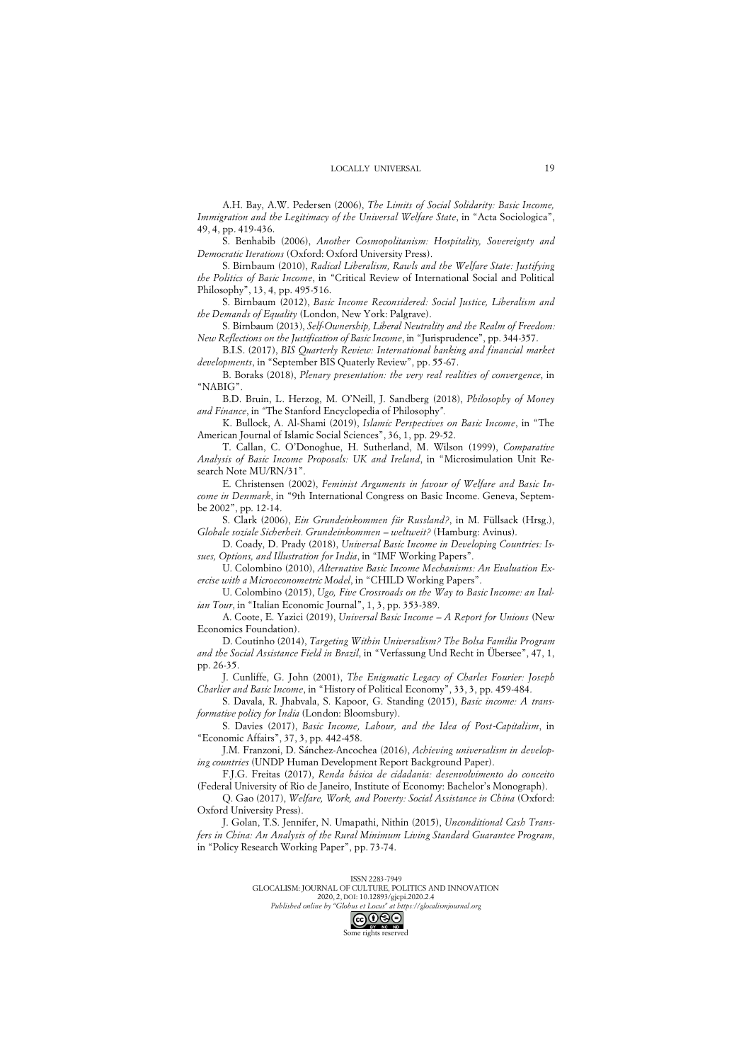A.H. Bay, A.W. Pedersen (2006), *The Limits of Social Solidarity: Basic Income, Immigration and the Legitimacy of the Universal Welfare State*, in "Acta Sociologica", 49, 4, pp. 419-436.

S. Benhabib (2006), *Another Cosmopolitanism: Hospitality, Sovereignty and Democratic Iterations* (Oxford: Oxford University Press).

S. Birnbaum (2010), *Radical Liberalism, Rawls and the Welfare State: Justifying the Politics of Basic Income*, in "Critical Review of International Social and Political Philosophy", 13, 4, pp. 495-516.

S. Birnbaum (2012), *Basic Income Reconsidered: Social Justice, Liberalism and the Demands of Equality* (London, New York: Palgrave).

S. Birnbaum (2013), *Self-Ownership, Liberal Neutrality and the Realm of Freedom: New Reflections on the Justification of Basic Income*, in "Jurisprudence", pp. 344-357.

B.I.S. (2017), *BIS Quarterly Review: International banking and financial market developments*, in "September BIS Quaterly Review", pp. 55-67.

B. Boraks (2018), *Plenary presentation: the very real realities of convergence*, in "NABIG".

B.D. Bruin, L. Herzog, M. O'Neill, J. Sandberg (2018), *Philosophy of Money and Finance*, in *"*The Stanford Encyclopedia of Philosophy*".*

K. Bullock, A. Al-Shami (2019), *Islamic Perspectives on Basic Income*, in "The American Journal of Islamic Social Sciences", 36, 1, pp. 29-52.

T. Callan, C. O'Donoghue, H. Sutherland, M. Wilson (1999), *Comparative Analysis of Basic Income Proposals: UK and Ireland*, in "Microsimulation Unit Research Note MU/RN/31".

E. Christensen (2002), *Feminist Arguments in favour of Welfare and Basic Income in Denmark*, in "9th International Congress on Basic Income. Geneva, Septembe 2002", pp. 12-14.

S. Clark (2006), *Ein Grundeinkommen für Russland?*, in M. Füllsack (Hrsg.), *Globale soziale Sicherheit. Grundeinkommen – weltweit?* (Hamburg: Avinus).

D. Coady, D. Prady (2018), *Universal Basic Income in Developing Countries: Issues, Options, and Illustration for India*, in "IMF Working Papers".

U. Colombino (2010), *Alternative Basic Income Mechanisms: An Evaluation Exercise with a Microeconometric Model*, in "CHILD Working Papers".

U. Colombino (2015), *Ugo, Five Crossroads on the Way to Basic Income: an Italian Tour*, in "Italian Economic Journal", 1, 3, pp. 353-389.

A. Coote, E. Yazici (2019), *Universal Basic Income – A Report for Unions* (New Economics Foundation).

D. Coutinho (2014), *Targeting Within Universalism? The Bolsa Família Program and the Social Assistance Field in Brazil*, in "Verfassung Und Recht in Übersee", 47, 1, pp. 26-35.

J. Cunliffe, G. John (2001), *The Enigmatic Legacy of Charles Fourier: Joseph Charlier and Basic Income*, in "History of Political Economy", 33, 3, pp. 459-484.

S. Davala, R. Jhabvala, S. Kapoor, G. Standing (2015), *Basic income: A transformative policy for India* (London: Bloomsbury).

S. Davies (2017), *Basic Income, Labour, and the Idea of Post*-*Capitalism*, in "Economic Affairs", 37, 3, pp. 442-458.

J.M. Franzoni, D. Sánchez-Ancochea (2016), *Achieving universalism in developing countries* (UNDP Human Development Report Background Paper).

F.J.G. Freitas (2017), *Renda básica de cidadania: desenvolvimento do conceito* (Federal University of Rio de Janeiro, Institute of Economy: Bachelor's Monograph).

Q. Gao (2017), *Welfare, Work, and Poverty: Social Assistance in China* (Oxford: Oxford University Press).

J. Golan, T.S. Jennifer, N. Umapathi, Nithin (2015), *Unconditional Cash Transfers in China: An Analysis of the Rural Minimum Living Standard Guarantee Program*, in "Policy Research Working Paper", pp. 73-74.

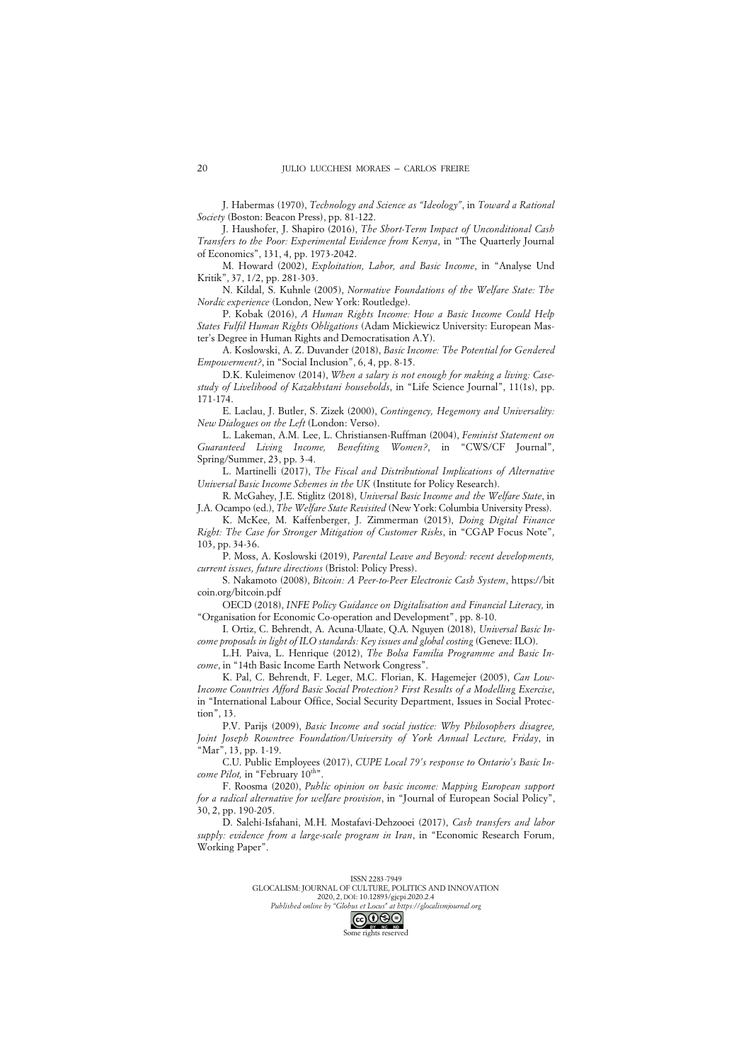J. Habermas (1970), *Technology and Science as "Ideology"*, in *Toward a Rational Society* (Boston: Beacon Press), pp. 81-122.

J. Haushofer, J. Shapiro (2016), *The Short-Term Impact of Unconditional Cash Transfers to the Poor: Experimental Evidence from Kenya*, in "The Quarterly Journal of Economics", 131, 4, pp. 1973-2042.

M. Howard (2002), *Exploitation, Labor, and Basic Income*, in "Analyse Und Kritik", 37, 1/2, pp. 281-303.

N. Kildal, S. Kuhnle (2005), *Normative Foundations of the Welfare State: The Nordic experience* (London, New York: Routledge).

P. Kobak (2016), *A Human Rights Income: How a Basic Income Could Help States Fulfil Human Rights Obligations* (Adam Mickiewicz University: European Master's Degree in Human Rights and Democratisation A.Y).

A. Koslowski, A. Z. Duvander (2018), *Basic Income: The Potential for Gendered Empowerment?*, in "Social Inclusion", 6, 4, pp. 8-15.

D.K. Kuleimenov (2014), *When a salary is not enough for making a living: Casestudy of Livelihood of Kazakhstani households*, in "Life Science Journal", 11(1s), pp. 171-174.

E. Laclau, J. Butler, S. Zizek (2000), *Contingency, Hegemony and Universality: New Dialogues on the Left* (London: Verso).

L. Lakeman, A.M. Lee, L. Christiansen-Ruffman (2004), *Feminist Statement on Guaranteed Living Income, Benefiting Women?*, in "CWS/CF Journal", Spring/Summer, 23, pp. 3-4.

L. Martinelli (2017), *The Fiscal and Distributional Implications of Alternative Universal Basic Income Schemes in the UK* (Institute for Policy Research).

R. McGahey, J.E. Stiglitz (2018), *Universal Basic Income and the Welfare State*, in J.A. Ocampo (ed.), *The Welfare State Revisited* (New York: Columbia University Press).

K. McKee, M. Kaffenberger, J. Zimmerman (2015), *Doing Digital Finance Right: The Case for Stronger Mitigation of Customer Risks*, in "CGAP Focus Note", 103, pp. 34-36.

P. Moss, A. Koslowski (2019), *Parental Leave and Beyond: recent developments, current issues, future directions* (Bristol: Policy Press).

S. Nakamoto (2008), *Bitcoin: A Peer-to-Peer Electronic Cash System*, https://bit coin.org/bitcoin.pdf

OECD (2018), *INFE Policy Guidance on Digitalisation and Financial Literacy,* in "Organisation for Economic Co-operation and Development", pp. 8-10.

I. Ortiz, C. Behrendt, A. Acuna-Ulaate, Q.A. Nguyen (2018), *Universal Basic Income proposals in light of ILO standards: Key issues and global costing* (Geneve: ILO).

L.H. Paiva, L. Henrique (2012), *The Bolsa Familia Programme and Basic Income*, in "14th Basic Income Earth Network Congress".

K. Pal, C. Behrendt, F. Leger, M.C. Florian, K. Hagemejer (2005), *Can Low-Income Countries Afford Basic Social Protection? First Results of a Modelling Exercise*, in "International Labour Office, Social Security Department, Issues in Social Protection", 13.

P.V. Parijs (2009), *Basic Income and social justice: Why Philosophers disagree, Joint Joseph Rowntree Foundation/University of York Annual Lecture, Friday*, in "Mar", 13, pp. 1-19.

C.U. Public Employees (2017), *CUPE Local 79's response to Ontario's Basic Income Pilot*, in "February 10<sup>th"</sup>

F. Roosma (2020), *Public opinion on basic income: Mapping European support for a radical alternative for welfare provision*, in "Journal of European Social Policy", 30, 2, pp. 190-205.

D. Salehi-Isfahani, M.H. Mostafavi-Dehzooei (2017), *Cash transfers and labor supply: evidence from a large-scale program in Iran*, in "Economic Research Forum, Working Paper".